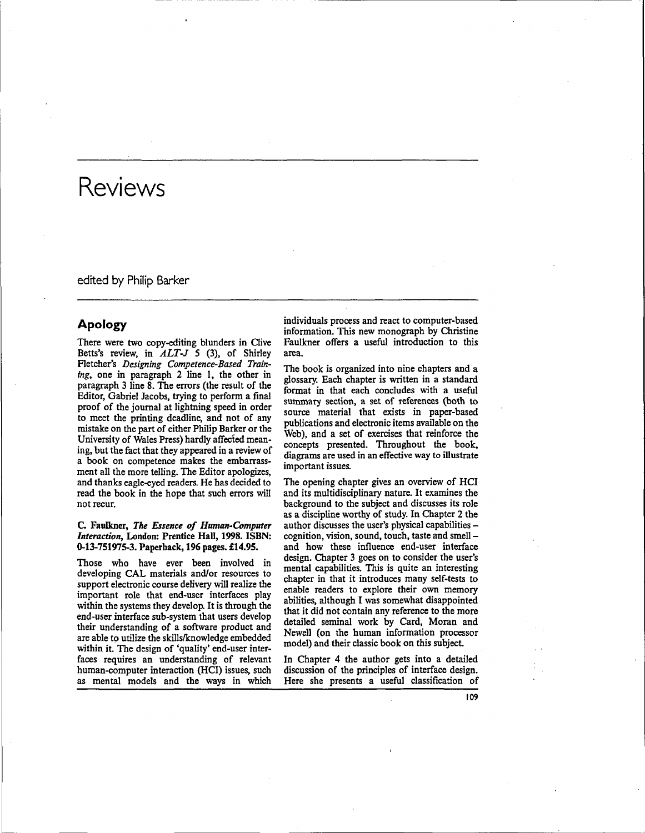edited by Philip Barker

## Apology

There were two copy-editing blunders in Clive Betts's review, in *ALT-J* 5 (3), of Shirley Fletcher's *Designing Competence-Based Training,* one in paragraph 2 line 1, the other in paragraph 3 line 8. The errors (the result of the Editor, Gabriel Jacobs, trying to perform a final proof of the journal at lightning speed in order to meet the printing deadline, and not of any mistake on the part of either Philip Barker or the University of Wales Press) hardly affected meaning, but the fact that they appeared in a review of a book on competence makes the embarrassment all the more telling. The Editor apologizes, and thanks eagle-eyed readers. He has decided to read the book in the hope that such errors will not recur.

#### C. Faulkner, *The Essence of Human-Computer Interaction,* London: Prentice Hall, 1998. ISBN: 0-13-751975-3. Paperback, 196 pages. £14.95.

Those who have ever been involved in developing CAL materials and/or resources to support electronic course delivery will realize the important role that end-user interfaces play within the systems they develop. It is through the end-user interface sub-system that users develop their understanding of a software product and are able to utilize the skills/knowledge embedded within it. The design of 'quality' end-user interfaces requires an understanding of relevant human-computer interaction (HCI) issues, such as mental models and the ways in which

individuals process and react to computer-based information. This new monograph by Christine Faulkner offers a useful introduction to this area.

The book is organized into nine chapters and a glossary. Each chapter is written in a standard format in that each concludes with a useful summary section, a set of references (both to source material that exists in paper-based publications and electronic items available on the Web), and a set of exercises that reinforce the concepts presented. Throughout the book, diagrams are used in an effective way to illustrate important issues.

The opening chapter gives an overview of HCI and its multidisciplinary nature. It examines the background to the subject and discusses its role as a discipline worthy of study. In Chapter 2 the author discusses the user's physical capabilities cognition, vision, sound, touch, taste and smell and how these influence end-user interface design. Chapter 3 goes on to consider the user's mental capabilities. This is quite an interesting chapter in that it introduces many self-tests to enable readers to explore their own memory abilities, although I was somewhat disappointed that it did not contain any reference to the more detailed seminal work by Card, Moran and Newell (on the human information processor model) and their classic book on this subject.

In Chapter 4 the author gets into a detailed discussion of the principles of interface design. Here she presents a useful classification of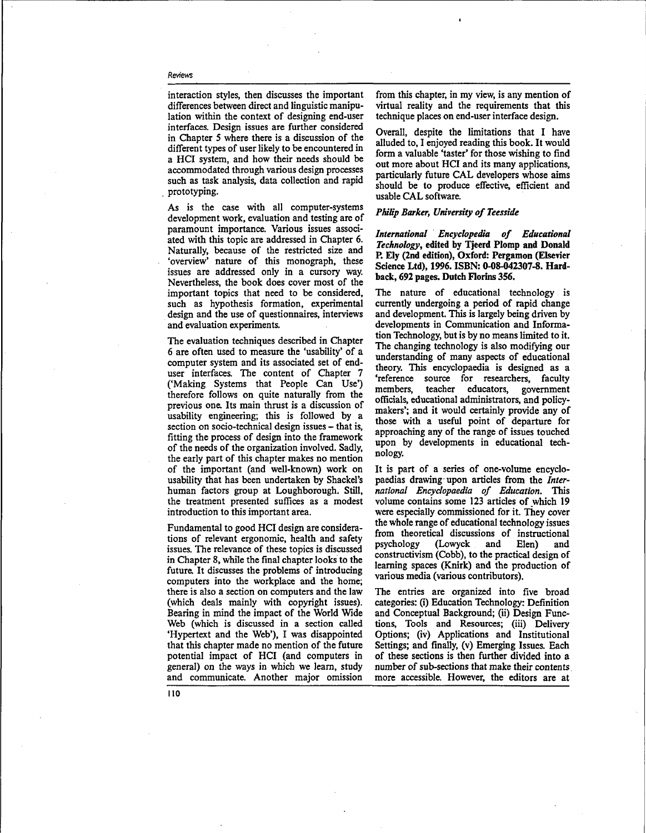interaction styles, then discusses the important differences between direct and linguistic manipulation within the context of designing end-user interfaces. Design issues are further considered in Chapter 5 where there is a discussion of the different types of user likely to be encountered in a HCI system, and how their needs should be accommodated through various design processes such as task analysis, data collection and rapid prototyping.

As is the case with all computer-systems development work, evaluation and testing are of paramount importance. Various issues associated with this topic are addressed in Chapter 6. Naturally, because of the restricted size and 'overview' nature of this monograph, these issues are addressed only in a cursory way. Nevertheless, the book does cover most of the important topics that need to be considered, such as hypothesis formation, experimental design and the use of questionnaires, interviews and evaluation experiments.

The evaluation techniques described in Chapter 6 are often used to measure the 'usability' of a computer system and its associated set of enduser interfaces. The content of Chapter 7 ('Making Systems that People Can Use') therefore follows on quite naturally from the previous one. Its main thrust is a discussion of usability engineering; this is followed by a section on socio-technical design issues - that is, fitting the process of design into the framework of the needs of the organization involved. Sadly, the early part of this chapter makes no mention of the important (and well-known) work on usability that has been undertaken by Shackel's human factors group at Loughborough. Still, the treatment presented suffices as a modest introduction to this important area.

Fundamental to good HCI design are considerations of relevant ergonomic, health and safety issues. The relevance of these topics is discussed in Chapter 8, while the final chapter looks to the future. It discusses the problems of introducing computers into the workplace and the home; there is also a section on computers and the law (which deals mainly with copyright issues). Bearing in mind the impact of the World Wide Web (which is discussed in a section called 'Hypertext and the Web'), I was disappointed that this chapter made no mention of the future potential impact of HCI (and computers in general) on the ways in which we learn, study and communicate. Another major omission from this chapter, in my view, is any mention of virtual reality and the requirements that this technique places on end-user interface design.

Overall, despite the limitations that I have alluded to, I enjoyed reading this book. It would form a valuable 'taster' for those wishing to find out more about HCI and its many applications, particularly future CAL developers whose aims should be to produce effective, efficient and usable CAL software.

#### *Philip Barker, University of Teesside*

*International Encyclopedia of Educational Technology,* **edited by Tjeerd Plomp and Donald P. Ely (2nd edition), Oxford: Pergamon (Elsevier Science Ltd), 1996. ISBN: 0-08-042307-8. Hardback, 692 pages. Dutch Florins 356.**

The nature of educational technology is currently undergoing **a** period of rapid change and development. This is largely being driven by developments in Communication **and** Information Technology, but is by no means limited to it. The changing technology is also modifying our understanding of many aspects of educational theory. This encyclopaedia is designed as a 'reference source for researchers, faculty members, teacher educators, government officials, educational administrators, and policymakers'; and it would certainly provide any of those with a useful point of departure for approaching any of the range of issues touched upon by developments in educational technology.

It is part of **a** series of one-volume encyclopaedias drawing upon articles from the *International Encyclopaedia of Education.* This volume contains some 123 articles of which 19 were especially commissioned for it. They cover the whole range of educational technology issues from theoretical discussions of instructional psychology (Lowyck and Elen) and constructivism (Cobb), to the practical design of learning spaces (Knirk) and the production of various media (various contributors).

The entries are organized into five broad categories: (i) Education Technology: Definition and Conceptual Background; (ii) Design Functions, Tools and Resources; (iii) Delivery Options; (iv) Applications and Institutional Settings; and finally, (v) Emerging Issues. Each of these sections is then further divided into **a** number of sub-sections that make their contents more accessible. However, the editors are at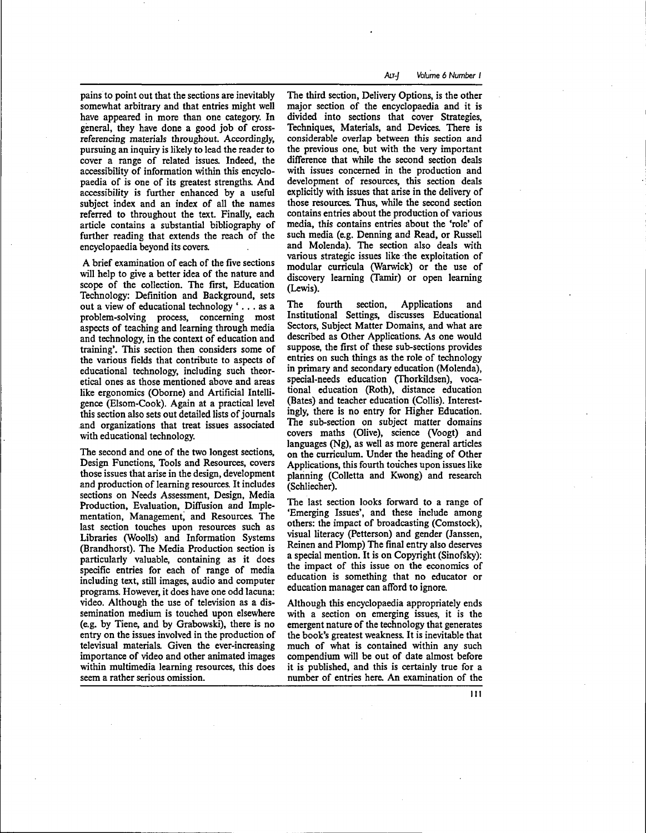pains to point out that the sections are inevitably somewhat arbitrary and that entries might well have appeared in more than one category. In general, they have done a good job of crossreferencing materials throughout. Accordingly, pursuing an inquiry is likely to lead the reader to cover a range of related issues. Indeed, the accessibility of information within this encyclopaedia of is one of its greatest strengths. And accessibility is further enhanced by a useful subject index and an index of all the names referred to throughout the text. Finally, each article contains a substantial bibliography of further reading that extends the reach of the encyclopaedia beyond its covers.

A brief examination of each of the five sections will help to give a better idea of the nature and scope of the collection. The first, Education Technology: Definition and Background, sets out a view of educational technology '.. . as a problem-solving process, concerning most aspects of teaching and learning through media and technology, in the context of education and training'. This section then considers some of the various fields that contribute to aspects of educational technology, including such theoretical ones as those mentioned above and areas like ergonomics (Oborne) and Artificial Intelligence (Elsom-Cook). Again at a practical level this section also sets out detailed lists of journals and organizations that treat issues associated with educational technology.

The second and one of the two longest sections, Design Functions, Tools and Resources, covers those issues that arise in the design, development and production of learning resources. It includes sections on Needs Assessment, Design, Media Production, Evaluation, Diffusion and Implementation, Management, and Resources. The last section touches upon resources such as Libraries (Woolls) and Information Systems (Brandhorst). The Media Production section is particularly valuable, containing as it does specific entries for each of range of media including text, still images, audio and computer programs. However, it does have one odd lacuna: video. Although the use of television as a dissemination medium is touched upon elsewhere (e.g. by Tiene, and by Grabowski), there is no entry on the issues involved in the production of televisual materials. Given the ever-increasing importance of video and other animated images within multimedia learning resources, this does seem a rather serious omission.

The third section, Delivery Options, is the other major section of the encyclopaedia and it is divided into sections that cover Strategies, Techniques, Materials, and Devices. There is considerable overlap between this section and the previous one, but with the very important difference that while the second section deals with issues concerned in the production and development of resources, this section deals explicitly with issues that arise in the delivery of those resources. Thus, while the second section contains entries about the production of various media, this contains entries about the 'role' of such media (e.g. Denning and Read, or Russell and Molenda). The section also deals with various strategic issues like the exploitation of modular curricula (Warwick) or the use of discovery learning (Tamir) or open learning (Lewis).

The fourth section, Applications and Institutional Settings, discusses Educational Sectors, Subject Matter Domains, and what are described as Other Applications. As one would suppose, the first of these sub-sections provides entries on such things as the role of technology in primary and secondary education (Molenda), special-needs education (Thorkildsen), vocational education (Roth), distance education (Bates) and teacher education (Collis). Interestingly, there is no entry for Higher Education. The sub-section on subject matter domains covers maths (Olive), science (Voogt) and languages (Ng), as well as more general articles on the curriculum. Under the heading of Other Applications, this fourth touches upon issues like planning (Colletta and Kwong) and research (Schliecher).

The last section looks forward to a range of 'Emerging Issues', and these include among others: the impact of broadcasting (Comstock), visual literacy (Petterson) and gender (Janssen, Reinen and Plomp) The final entry also deserves a special mention. It is on Copyright (Sinofsky): the impact of this issue on the economics of education is something that no educator or education manager can afford to ignore.

Although this encyclopaedia appropriately ends with a section on emerging issues, it is the emergent nature of the technology that generates the book's greatest weakness. It is inevitable that much of what is contained within any such compendium will be out of date almost before it is published, and this is certainly true for a number of entries here. An examination of the

I I I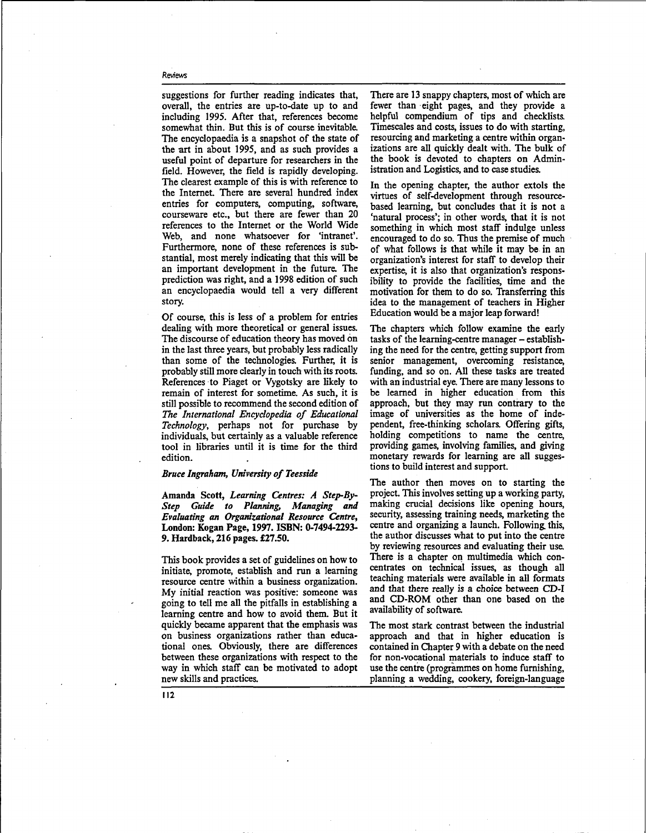suggestions for further reading indicates that, overall, the entries are up-to-date up to and including 1995. After that, references become somewhat thin. But this is of course inevitable. The encyclopaedia is a snapshot of the state of the art in about 1995, and as such provides a useful point of departure for researchers in the field. However, the field is rapidly developing. The clearest example of this is with reference to the Internet. There are several hundred index entries for computers, computing, software, courseware etc., but there are fewer than 20 references to the Internet or the World Wide Web, and none whatsoever for 'intranet'. Furthermore, none of these references is substantial, most merely indicating that this will be an important development in the future. The prediction was right, and a 1998 edition of such an encyclopaedia would tell a very different story.

Of course, this is less of a problem for entries dealing with more theoretical or general issues. The discourse of education theory has moved on in the last three years, but probably less radically than some of the technologies. Further, it is probably still more clearly in touch with its roots. References to Piaget or Vygotsky are likely to remain of interest for sometime. As such, it is still possible to recommend the second edition of *TTte International Encyclopedia of Educational Technology,* perhaps not for purchase by individuals, but certainly as a valuable reference tool in libraries until it is time for the third edition.

#### *Bruce Ingraham, University of Teesside*

Amanda Scott, *Learning Centres: A Step-By-Step Guide to Planning, Managing and Evaluating an Organizational Resource Centre,* **London: Kogan Page, 1997. ISBN: 0-7494-2293- 9.** Hardback, **216** pages. £27.50.

This book provides a set of guidelines on how to initiate, promote, establish and run a learning resource centre within a business organization. My initial reaction was positive: someone was going to tell me all the pitfalls in establishing a learning centre and how to avoid them. But it quickly became apparent that the emphasis was on business organizations rather than educational ones. Obviously, there are differences between these organizations with respect to the way in which staff can be motivated to adopt new skills and practices.

There are 13 snappy chapters, most of which are fewer than eight pages, and they provide a helpful compendium of tips and checklists. Timescales and costs, issues to do with starting, resourcing and marketing a centre within organizations are all quickly dealt with. The bulk of the book is devoted to chapters on Administration and Logistics, and to case studies.

In the opening chapter, the author extols the virtues of self-development through resourcebased learning, but concludes that it is not a 'natural process'; in other words, that it is not something in which most staff indulge unless encouraged to do so. Thus the premise of much of what follows is that while it may be in an organization's interest for staff to develop their expertise, it is also that organization's responsibility to provide the facilities, time and the motivation for them to do so. Transferring this idea to the management of teachers in Higher Education would be a major leap forward!

The chapters which follow examine the early tasks of the learning-centre manager – establishing the need for the centre, getting support from senior management, overcoming resistance, funding, and so on. All these tasks are treated with an industrial eye. There are many lessons to be learned in higher education from this approach, but they may run contrary to the image of universities as the home of independent, free-thinking scholars. Offering gifts, holding competitions to name the centre, providing games, involving families, and giving monetary rewards for learning are all suggestions to build interest and support.

The author then moves on to starting the project. This involves setting up a working party, making crucial decisions like opening hours, security, assessing training needs, marketing the centre and organizing a launch. Following, this, the author discusses what to put into the centre by reviewing resources and evaluating their use. There is a chapter on multimedia which concentrates on technical issues, as though all teaching materials were available in all formats and that there really is a choice between CD-I and CD-ROM other than one based on the availability of software.

The most stark contrast between the industrial approach and that in higher education is contained in Chapter 9 with a debate on the need for non-vocational materials to induce staff to use the centre (programmes on home furnishing, planning a wedding, cookery, foreign-language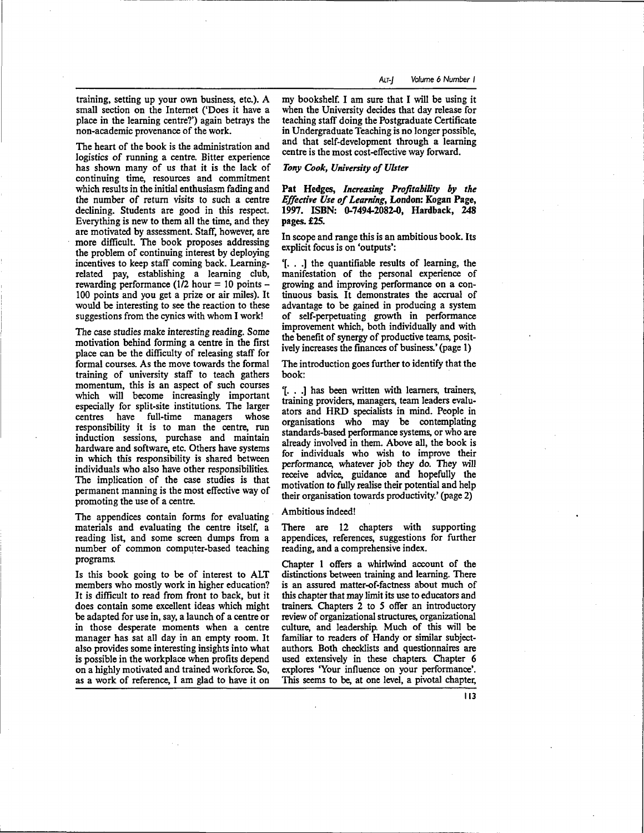training, setting up your own business, etc.). A small section on the Internet ('Does it have a place in the learning centre?') again betrays the non-academic provenance of the work.

The heart of the book is the administration and logistics of running a centre. Bitter experience has shown many of us that it is the lack of continuing time, resources and commitment which results in the initial enthusiasm fading and the number of return visits to such a centre declining. Students are good in this respect. Everything is new to them all the time, and they are motivated by assessment. Staff, however, are more difficult. The book proposes addressing the problem of continuing interest by deploying incentives to keep staff coming back. Learningrelated pay, establishing a learning club, rewarding performance  $(1/2$  hour = 10 points -100 points and you get a prize or air miles). It would be interesting to see the reaction to these suggestions from the cynics with whom I work!

The case studies make interesting reading. Some motivation behind forming a centre in the first place can be the difficulty of releasing staff for formal courses. As the move towards the formal training of university staff to teach gathers momentum, this is an aspect of such courses which will become increasingly important especially for split-site institutions. The larger centres have full-time managers whose responsibility it is to man the centre, run induction sessions, purchase and maintain hardware and software, etc. Others have systems in which this responsibility is shared between individuals who also have other responsibilities. The implication of the case studies is that permanent manning is the most effective way of promoting the use of a centre.

The appendices contain forms for evaluating materials and evaluating the centre itself, a reading list, and some screen dumps from a number of common computer-based teaching programs.

Is this book going to be of interest to ALT members who mostly work in higher education? It is difficult to read from front to back, but it does contain some excellent ideas which might be adapted for use in, say, a launch of a centre or in those desperate moments when a centre manager has sat all day in an empty room. It also provides some interesting insights into what is possible in the workplace when profits depend on a highly motivated and trained workforce. So, as a work of reference, I am glad to have it on

my bookshelf. I am sure that I will be using it when the University decides that day release for teaching staff doing the Postgraduate Certificate in Undergraduate Teaching is no longer possible, and that self-development through a learning centre is the most cost-effective way forward.

*Tony Cook, University of Ulster*

Pat Hedges, *Increasing Profitability by the Effective Use of Learning,* London: Kogan Page, 1997. ISBN: 0-7494-2082-0, Hardback, 248 pages. £25.

In scope and range this is an ambitious book. Its explicit focus is on 'outputs':

'[. . .] the quantifiable results of learning, the manifestation of the personal experience of growing and improving performance on a continuous basis. It demonstrates the accrual of advantage to be gained in producing a system of self-perpetuating growth in performance improvement which, both individually and with the benefit of synergy of productive teams, positively increases the finances of business.' (page 1)

The introduction goes further to identify that the book:

'[. . .] has been written with learners, trainers, training providers, managers, team leaders evaluators and HRD specialists in mind. People in organisations who may be contemplating standards-based performance systems, or who are already involved in them. Above all, the book is for individuals who wish to improve their performance, whatever job they do. They will receive advice, guidance and hopefully the motivation to fully realise their potential and help their organisation towards productivity.' (page 2)

#### Ambitious indeed!

There are 12 chapters with supporting appendices, references, suggestions for further reading, and a comprehensive index.

Chapter 1 offers a whirlwind account of the distinctions between training and learning. There is an assured matter-of-factness about much of this chapter that may limit its use to educators and trainers. Chapters 2 to 5 offer an introductory review of organizational structures, organizational culture, and leadership. Much of this will be familiar to readers of Handy or similar subjectauthors. Both checklists and questionnaires are used extensively in these chapters. Chapter 6 explores 'Your influence on your performance'. This seems to be, at one level, a pivotal chapter,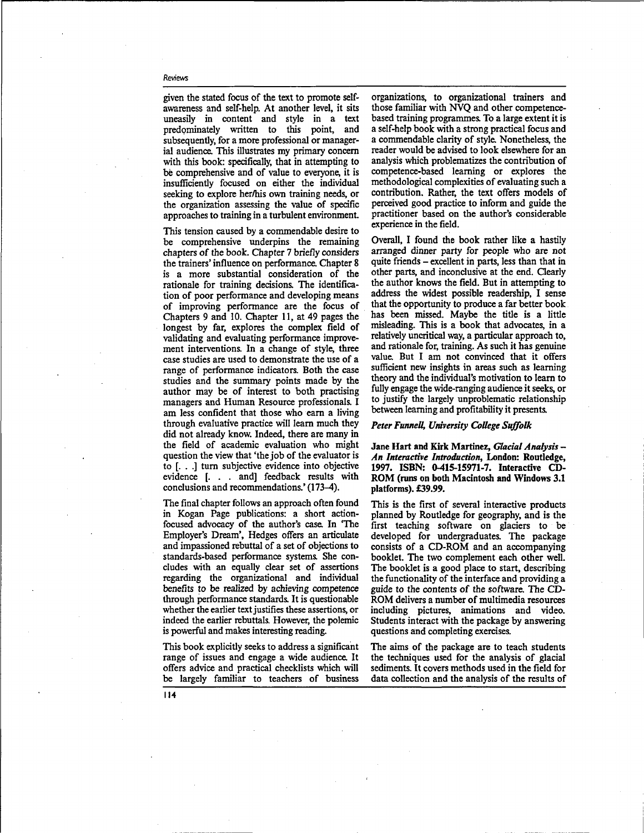given the stated focus of the text to promote selfawareness and self-help. At another level, it sits uneasily in content and style in a text predominately written to this point, and subsequently, for a more professional or managerial audience. This illustrates my primary concern with this book: specifically, that in attempting to be comprehensive and of value to everyone, it is insufficiently focused on either the individual seeking to explore her/his own training needs, or the organization assessing the value of specific approaches to training in a turbulent environment.

This tension caused by a commendable desire to be comprehensive underpins the remaining chapters of the book. Chapter 7 briefly considers the trainers' influence on performance. Chapter 8 is a more substantial consideration of the rationale for training decisions. The identification of poor performance and developing means of improving performance are the focus of Chapters 9 and 10. Chapter 11, at 49 pages the longest by far, explores the complex field of validating and evaluating performance improvement interventions. In a change of style, three case studies are used to demonstrate the use of a range of performance indicators. Both the case studies and the summary points made by the author may be of interest to both practising managers and Human Resource professionals. I am less confident that those who earn a living through evaluative practice will learn much they did not already know. Indeed, there are many in the field of academic evaluation who might question the view that 'the job of the evaluator is to [. . .] turn subjective evidence into objective evidence [. . . and] feedback results with conclusions and recommendations.' (173-4).

The final chapter follows an approach often found in Kogan Page publications: a short actionfocused advocacy of the author's case. In The Employer's Dream', Hedges offers an articulate and impassioned rebuttal of a set of objections to standards-based performance systems. She concludes with an equally clear set of assertions regarding the organizational and individual benefits to be realized by achieving competence through performance standards. It is questionable whether the earlier text justifies these assertions, or indeed the earlier rebuttals. However, the polemic is powerful and makes interesting reading.

This book explicitly seeks to address a significant range of issues and engage a wide audience. It offers advice and practical checklists which will be largely familiar to teachers of business

organizations, to organizational trainers and those familiar with NVQ and other competencebased training programmes. To a large extent it is a self-help book with a strong practical focus and a commendable clarity of style. Nonetheless, the reader would be advised to look elsewhere for an analysis which problematizes the contribution of competence-based learning or explores the methodological complexities of evaluating such a contribution. Rather, the text offers models of perceived good practice to inform and guide the practitioner based on the author's considerable experience in the field.

Overall, I found the book rather like a hastily arranged dinner party for people who are not quite friends - excellent in parts, less than that in other parts, and inconclusive at the end. Clearly the author knows the field. But in attempting to address the widest possible readership, I sense that the opportunity to produce a far better book has been missed. Maybe the title is a little misleading. This is a book that advocates, in a relatively uncritical way, a particular approach to, and rationale for, training. As such it has genuine value. But I am not convinced that it offers sufficient new insights in areas such as learning theory and the individual's motivation to learn to fully engage the wide-ranging audience it seeks, or to justify the largely unproblematic relationship between learning and profitability it presents.

## *Peter FunneU, University College Suffolk*

Jane Hart and Kirk Martinez, *Glacial Analysis* - *An Interactive Introduction,* London: Routledge, 1997. ISBN: 0-415-15971-7. Interactive CD-ROM (runs on both Macintosh and Windows 3.1 platforms). £39.99.

This is the first of several interactive products planned by Routledge for geography, and is the first teaching software on glaciers to be developed for undergraduates. The package consists of a CD-ROM and an accompanying booklet. The two complement each other well. The booklet is a good place to start, describing the functionality of the interface and providing a guide to the contents of the software. The CD-ROM delivers a number of multimedia resources including pictures, animations and video. Students interact with the package by answering questions and completing exercises.

The aims of the package are to teach students the techniques used for the analysis of glacial sediments. It covers methods used in the field for data collection and the analysis of the results of

**114**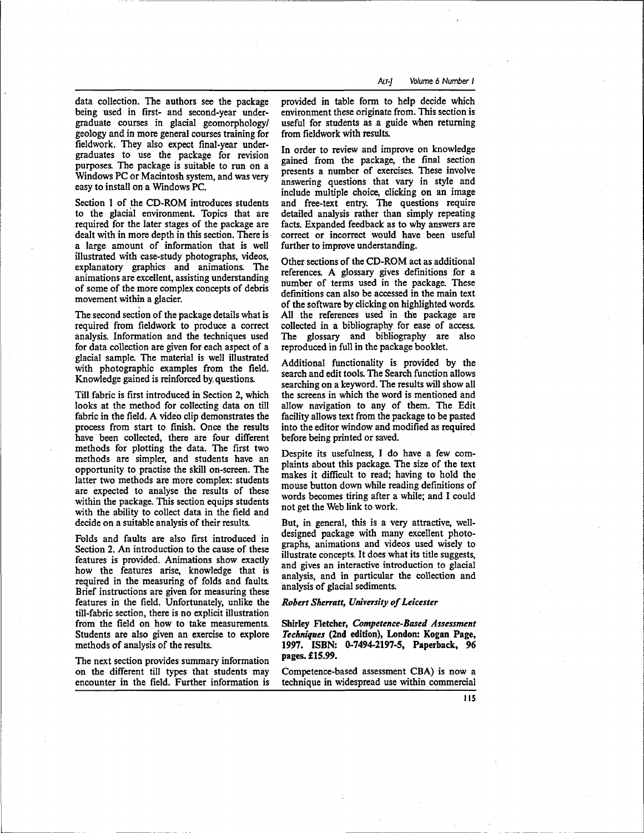data collection. The authors see the package being used in first- and second-year undergraduate courses in glacial geomorphology/ geology and in more general courses training for fieldwork. They also expect final-year undergraduates to use the package for revision purposes. The package is suitable to run on a Windows PC or Macintosh system, and was very easy to install on a Windows PC.

Section 1 of the CD-ROM introduces students to the glacial environment. Topics that are required for the later stages of the package are dealt with in more depth in this section. There is a large amount of information that is well illustrated with case-study photographs, videos, explanatory graphics and animations. The animations are excellent, assisting understanding of some of the more complex concepts of debris movement within a glacier.

The second section of the package details what is required from fieldwork to produce a correct analysis. Information and the techniques used for data collection are given for each aspect of a glacial sample. The material is well illustrated with photographic examples from the field. Knowledge gained is reinforced by. questions.

Till fabric is first introduced in Section 2, which looks at the method for collecting data on till fabric in the field. A video clip demonstrates the process from start to finish. Once the results have been collected, there are four different methods for plotting the data. The first two methods are simpler, and students have an opportunity to practise the skill on-screen. The latter two methods are more complex: students are expected to analyse the results of these within the package. This section equips students with the ability to collect data in the field and decide on a suitable analysis of their results.

Folds and faults are also first introduced in Section 2. An introduction to the cause of these features is provided. Animations show exactly how the features arise, knowledge that is required in the measuring of folds and faults. Brief instructions are given for measuring these features in the field. Unfortunately, unlike the till-fabric section, there is no explicit illustration from the field on how to take measurements. Students are also given an exercise to explore methods of analysis of the results.

The next section provides summary information on the different till types that students may encounter in the field. Further information is provided in table form to help decide which environment these originate from. This section is useful for students as a guide when returning from fieldwork with results.

In order to review and improve on knowledge gained from the package, the final section presents a number of exercises. These involve answering questions that vary in style and include multiple choice, clicking on an image and free-text entry. The questions require detailed analysis rather than simply repeating facts. Expanded feedback as to why answers are correct or incorrect would have been useful further to improve understanding.

Other sections of the CD-ROM act as additional references. A glossary gives definitions for a number of terms used in the package. These definitions can also be accessed in the main text of the software by clicking on highlighted words. All the references used in the package are collected in a bibliography for ease of access. The glossary and bibliography are also reproduced in full in the package booklet.

Additional functionality is provided by the search and edit tools. The Search function allows searching on a keyword. The results will show all the screens in which the word is mentioned and allow navigation to any of them. The Edit facility allows text from the package to be pasted into the editor window and modified as required before being printed or saved.

Despite its usefulness, I do have a few complaints about this package. The size of the text makes it difficult to read; having to hold the mouse button down while reading definitions of words becomes tiring after a while; and I could not get the Web link to work.

But, in general, this is a very attractive, welldesigned package with many excellent photographs, animations and videos used wisely to illustrate concepts. It does what its title suggests, and gives an interactive introduction to glacial analysis, and in particular the collection and analysis of glacial sediments.

#### *Robert Sherratt, University of Leicester*

Shirley Fletcher, *Competence-Based Assessment Techniques* (2nd edition), London: Kogan Page, 1997. ISBN: 0-7494-2197-5, Paperback, 96 pages. £15.99.

Competence-based assessment CBA) is now a technique in widespread use within commercial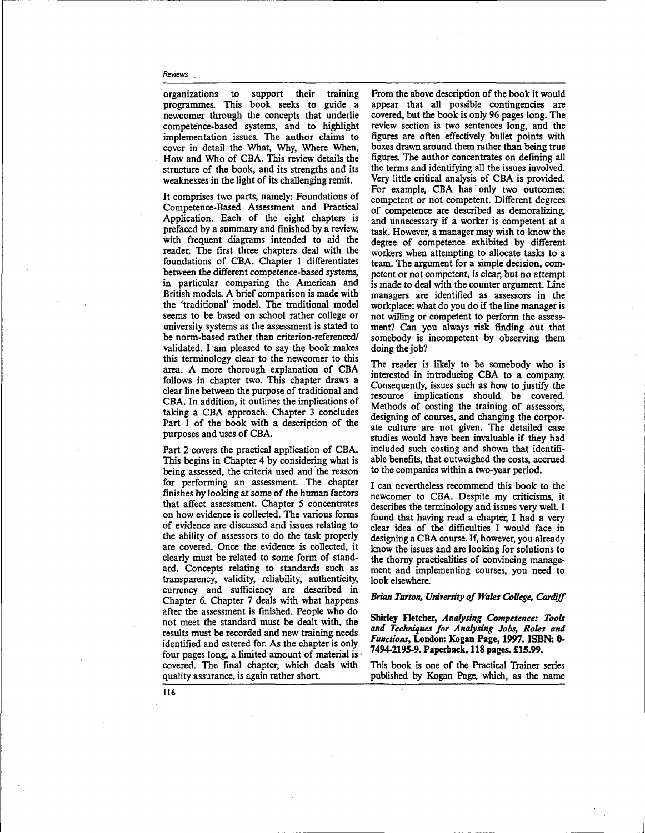organizations to support their training programmes. This book seeks to guide a newcomer through the concepts that underlie competence-based systems, and to highlight implementation issues. The author claims to cover in detail the What, Why, Where When, How and Who of CBA. This review details the structure of the book, and its strengths and its weaknesses in the light of its challenging remit.

It comprises two parts, namely: Foundations of Competence-Based Assessment and Practical Application. Each of the eight chapters is prefaced by a summary and finished by a review, with frequent diagrams intended to aid the reader. The first three chapters deal with the foundations of CBA. Chapter 1 differentiates between the different competence-based systems, in particular comparing the American and British models. A brief comparison is made with the 'traditional' model. The traditional model seems to be based on school rather college or university systems as the assessment is stated to be norm-based rather than criterion-referenced/ validated. I am pleased to say the book makes this terminology clear to the newcomer to this area. A more thorough explanation of CBA follows in chapter two. This chapter draws a clear line between the purpose of traditional and CBA. In addition, it outlines the implications of taking a CBA approach. Chapter 3 concludes Part 1 of the book with a description of the purposes and uses of CBA.

Part 2 covers the practical application of CBA. This begins in Chapter 4 by considering what is being assessed, the criteria used and the reason for performing an assessment. The chapter finishes by looking at some of the human factors that affect assessment. Chapter 5 concentrates on how evidence is collected. The various forms of evidence are discussed and issues relating to the ability of assessors to do the task properly are covered. Once the evidence is collected, it clearly must be related to some form of standard. Concepts relating to standards such as transparency, validity, reliability, authenticity, currency and sufficiency are described in Chapter 6. Chapter 7 deals with what happens after the assessment is finished. People who do not meet the standard must be dealt with, the results must be recorded and new training needs identified and catered for. As the chapter is only four pages long, a limited amount of material is  $\cdot$ covered. The final chapter, which deals with quality assurance, is again rather short.

From the above description of the book it would appear that all possible contingencies are covered, but the book is only 96 pages long. The review section is two sentences long, and the figures are often effectively bullet points with boxes drawn around them rather than being true figures. The author concentrates on defining all the terms and identifying all the issues involved. Very little critical analysis of CBA is provided. For example, CBA has only two outcomes: competent or not competent. Different degrees of competence are described as demoralizing, and unnecessary if a worker is competent at a task. However, a manager may wish to know the degree of competence exhibited by different workers when attempting to allocate tasks to a team. The argument for a simple decision, competent or not competent, is clear, but no attempt is made to deal with the counter argument. Line managers are identified as assessors in the workplace: what do you do if the line manager is not willing or competent to perform the assessment? Can you always risk finding out that somebody is incompetent by observing them doing the job?

The reader is likely to be somebody who is interested in introducing CBA to a company. Consequently, issues such as how to justify the resource implications should be covered. Methods of costing the training of assessors, designing of courses, and changing the corporate culture are not given. The detailed case studies would have been invaluable if they had included such costing and shown that identifiable benefits, that outweighed the costs, accrued to the companies within a two-year period.

I can nevertheless recommend this book to the newcomer to CBA. Despite my criticisms, it describes the terminology and issues very well. I found that having read a chapter, I had a very clear idea of the difficulties I would face in designing a CBA course. If, however, you already know the issues and are looking for solutions to the thorny practicalities of convincing management and implementing courses, you need to look elsewhere.

#### *Brian Turton, University of Wales College, Cardiff*

Shirley Fletcher, *Analysing Competence: Tools and Techniques for Analysing Jobs, Roles and Functions,* London: Kogan Page, 1997. ISBN: 0- 7494-2195-9. Paperback, 118 pages. £15.99.

This book is one of the Practical Trainer series published by Kogan Page, which, as the name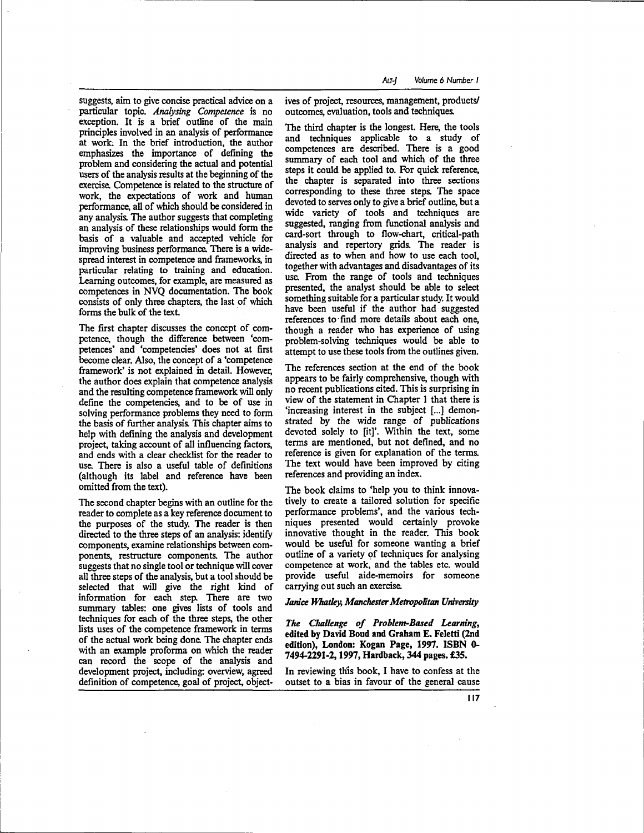suggests, aim to give concise practical advice on a particular topic. *Analysing Competence* is no exception. It is a brief outline of the main principles involved in an analysis of performance at work. In the brief introduction, the author emphasizes the importance of defining the problem and considering the actual and potential users of the analysis results at the beginning of the exercise. Competence is related to the structure of work, the expectations of work and human performance, all of which should be considered in any analysis. The author suggests that completing an analysis of these relationships would form the basis of a valuable and accepted vehicle for improving business performance. There is a widespread interest in competence and frameworks, in particular relating to training and education. Learning outcomes, for example, are measured as competences in NVQ documentation. The book consists of only three chapters, the last of which forms the bulk of the text.

The first chapter discusses the concept of competence, though the difference between 'competences' and 'competencies' does not at first become clear. Also, the concept of a 'competence framework' is not explained in detail. However, the author does explain that competence analysis and the resulting competence framework will only define the competencies, and to be of use in solving performance problems they need to form the basis of further analysis. This chapter aims to help with defining the analysis and development project, taking account of all influencing factors, and ends with a clear checklist for the reader to use. There is also a useful table of definitions (although its label and reference have been omitted from the text).

The second chapter begins with an outline for the reader to complete as a key reference document to the purposes of the study. The reader is then directed to the three steps of an analysis: identify components, examine relationships between components, restructure components. The author suggests that no single tool or technique will cover all three steps of the analysis, but a tool should be selected that will give the right kind of information for each step. There are two summary tables: one gives lists of tools and techniques for each of the three steps, the other lists uses of the competence framework in terms of the actual work being done. The chapter ends with an example proforma on which the reader can record the scope of the analysis and development project, including: overview, agreed definition of competence, goal of project, objectives of project, resources, management, products/ outcomes, evaluation, tools and techniques.

The third chapter is the longest. Here, the tools and techniques applicable to a study of competences are described. There is a good summary of each tool and which of the three steps it could be applied to. For quick reference, the chapter is separated into three sections corresponding to these three steps. The space devoted to serves only to give a brief outline, but a wide variety of tools and techniques are suggested, ranging from functional analysis and card-sort through to flow-chart, critical-path analysis and repertory grids. The reader is directed as to when and how to use each tool, together with advantages and disadvantages of its use. From the range of tools and techniques presented, the analyst should be able to select something suitable for a particular study. It would have been useful if the author had suggested references to find more details about each one, though a reader who has experience of using problem-solving techniques would be able to attempt to use these tools from the outlines given.

The references section at the end of the book appears to be fairly comprehensive, though with no recent publications cited. This is surprising in view of the statement in Chapter 1 that there is 'increasing interest in the subject [...] demonstrated by the wide range of publications devoted solely to [it]'. Within the text, some terms are mentioned, but not defined, and no reference is given for explanation of the terms. The text would have been improved by citing references and providing an index.

The book claims to 'help you to think innovatively to create a tailored solution for specific performance problems', and the various techniques presented would certainly provoke innovative thought in the reader. This book would be useful for someone wanting a brief outline of a variety of techniques for analysing competence at work, and the tables etc. would provide useful aide-memoirs for someone carrying out such an exercise.

#### *Janice Whatley, Manchester Metropolitan University*

*The Challenge of Problem-Based Learning,* edited by David Boud and Graham E. Feletti (2nd edition), London: Kogan Page, 1997. ISBN 0- 7494-2291-2, 1997, Hardback, 344 pages. £35.

In reviewing this book, I have to confess at the outset to a bias in favour of the general cause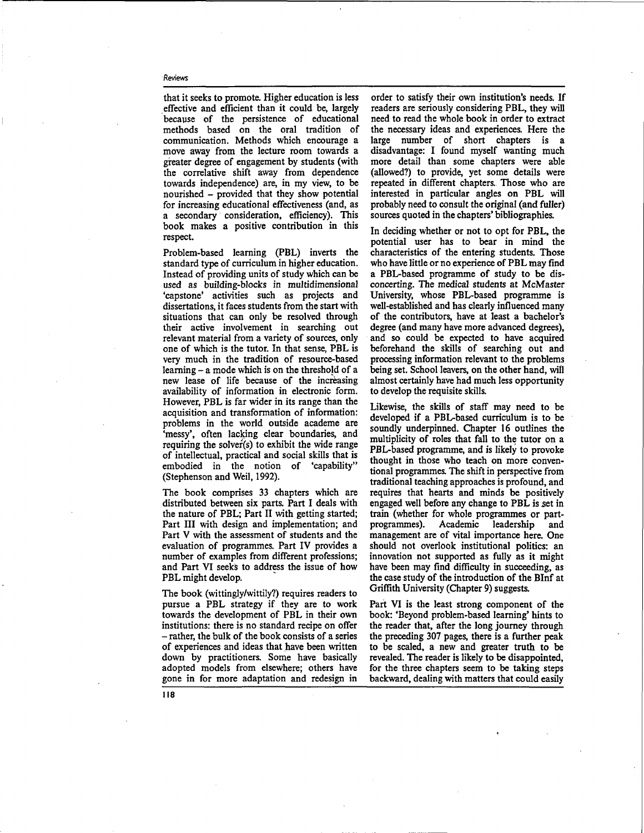that it seeks to promote. Higher education is less effective and efficient than it could be, largely because of the persistence of educational methods based on the oral tradition of communication. Methods which encourage a move away from the lecture room towards a greater degree of engagement by students (with the correlative shift away from dependence towards independence) are, in my view, to be nourished - provided that they show potential for increasing educational effectiveness (and, as a secondary consideration, efficiency). This book makes a positive contribution in this respect.

Problem-based learning (PBL) inverts the standard type of curriculum in higher education. Instead of providing units of study which can be used as building-blocks in multidimensional 'capstone' activities such as projects and dissertations, it faces students from the start with situations that can only be resolved through their active involvement in searching out relevant material from a variety of sources, only one of which is the tutor. In that sense, PBL is very much in the tradition of resource-based learning - a mode which is on the threshojd of a new lease of life because of the increasing availability of information in electronic form. However, PBL is far wider in its range than the acquisition and transformation of information: problems in the world outside academe are 'messy', often lacking clear boundaries, and requiring the solver(s) to exhibit the wide range of intellectual, practical and social skills that is embodied in the notion of 'capability" (Stephenson and Weil, 1992).

The book comprises 33 chapters which are distributed between six parts. Part I deals with the nature of PBL; Part II with getting started; Part **III** with design and implementation; and Part V with the assessment of students and the evaluation of programmes. Part IV provides a number of examples from different professions; and Part VI seeks to address the issue of how PBL might develop.

The book (wittingly/wittily?) requires readers to pursue a PBL strategy if they are to work towards the development of PBL in their own institutions: there is no standard recipe on offer - rather, the bulk of the book consists of a series of experiences and ideas that have been written down by practitioners. Some have basically adopted models from elsewhere; others have gone in for more adaptation and redesign in

order to satisfy their own institution's needs. If readers are seriously considering PBL, they will need to read the whole book in order to extract the necessary ideas and experiences. Here the large number of short chapters is a disadvantage: I found myself wanting much more detail than some chapters were able (allowed?) to provide, yet some details were repeated in different chapters.. Those who are interested in particular angles on PBL will probably need to consult the original (and fuller) sources quoted in the chapters' bibliographies.

In deciding whether or not to opt for PBL, the potential user has to bear in mind the characteristics of the entering students. Those who have **little** or no experience of PBL may find a PBL-based programme of study to be disconcerting. The medical students at McMaster University, whose PBL-based programme is well-established and has clearly influenced many of the contributors, have at least a bachelor's degree (and many have more advanced degrees), and so could be expected to have acquired beforehand the skills of searching out and processing information relevant to the problems being set. School leavers, on the other hand, will almost certainly have had much less opportunity to develop the requisite skills.

Likewise, the skills of staff may need to be developed if a PBL-based curriculum is to be soundly underpinned. Chapter 16 outlines the multiplicity of roles that fall to the tutor on a PBL-based programme, and is likely to provoke thought in those who teach on more conventional programmes. The shift in perspective from traditional teaching approaches is profound, and requires that hearts and minds be positively engaged well before any change to PBL is set in train (whether for whole programmes or partprogrammes). Academic leadership and management are of vital importance here. One should not overlook institutional politics: an innovation not supported as fully as it might have been may find difficulty in succeeding, as the case study of the introduction of the BInf at Griffith University (Chapter 9) suggests.

Part VI is the least strong component of the book: 'Beyond problem-based learning' hints to the reader that, after the long journey through the preceding 307 pages, there is a further peak to be scaled, a new and greater truth to be revealed. The reader is likely to be disappointed, for the three chapters seem to be taking steps backward, dealing with matters that could easily